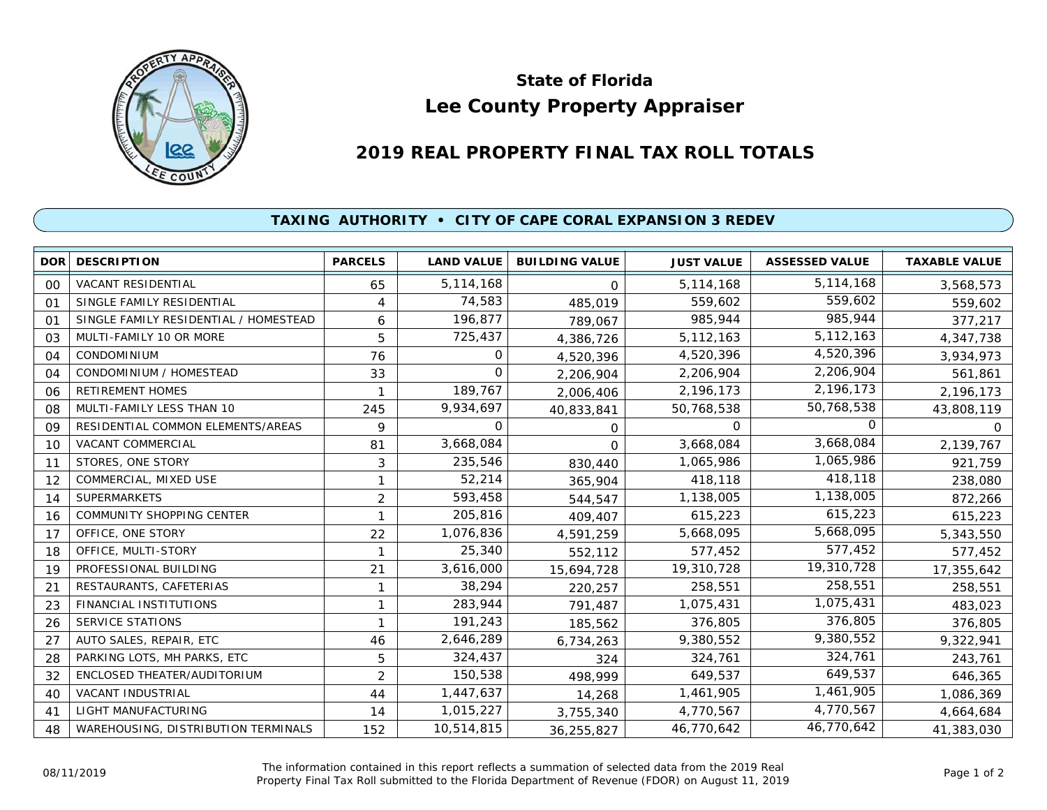

## **Lee County Property Appraiser State of Florida**

## **2019 REAL PROPERTY FINAL TAX ROLL TOTALS**

## **TAXING AUTHORITY • CITY OF CAPE CORAL EXPANSION 3 REDEV**

|    | <b>DOR DESCRIPTION</b>                | <b>PARCELS</b> | <b>LAND VALUE</b> | <b>BUILDING VALUE</b> | <b>JUST VALUE</b> | <b>ASSESSED VALUE</b> | <b>TAXABLE VALUE</b> |
|----|---------------------------------------|----------------|-------------------|-----------------------|-------------------|-----------------------|----------------------|
| 00 | VACANT RESIDENTIAL                    | 65             | 5,114,168         | $\Omega$              | 5,114,168         | 5,114,168             | 3,568,573            |
| 01 | SINGLE FAMILY RESIDENTIAL             | 4              | 74,583            | 485,019               | 559,602           | 559,602               | 559,602              |
| 01 | SINGLE FAMILY RESIDENTIAL / HOMESTEAD | 6              | 196,877           | 789,067               | 985,944           | 985,944               | 377,217              |
| 03 | MULTI-FAMILY 10 OR MORE               | 5              | 725,437           | 4,386,726             | 5, 112, 163       | 5,112,163             | 4,347,738            |
| 04 | <b>CONDOMINIUM</b>                    | 76             | 0                 | 4,520,396             | 4,520,396         | 4,520,396             | 3,934,973            |
| 04 | CONDOMINIUM / HOMESTEAD               | 33             | 0                 | 2,206,904             | 2,206,904         | 2,206,904             | 561,861              |
| 06 | <b>RETIREMENT HOMES</b>               |                | 189,767           | 2,006,406             | 2,196,173         | 2,196,173             | 2,196,173            |
| 08 | MULTI-FAMILY LESS THAN 10             | 245            | 9,934,697         | 40,833,841            | 50,768,538        | 50,768,538            | 43,808,119           |
| 09 | RESIDENTIAL COMMON ELEMENTS/AREAS     | 9              | $\Omega$          | 0                     | $\Omega$          |                       | 0                    |
| 10 | <b>VACANT COMMERCIAL</b>              | 81             | 3,668,084         | 0                     | 3,668,084         | 3,668,084             | 2,139,767            |
| 11 | STORES, ONE STORY                     | 3              | 235,546           | 830,440               | 1,065,986         | 1,065,986             | 921,759              |
| 12 | COMMERCIAL, MIXED USE                 |                | 52,214            | 365,904               | 418,118           | 418,118               | 238,080              |
| 14 | <b>SUPERMARKETS</b>                   | 2              | 593,458           | 544,547               | 1,138,005         | 1,138,005             | 872,266              |
| 16 | <b>COMMUNITY SHOPPING CENTER</b>      |                | 205,816           | 409,407               | 615,223           | 615,223               | 615,223              |
| 17 | OFFICE, ONE STORY                     | 22             | 1,076,836         | 4,591,259             | 5,668,095         | 5,668,095             | 5,343,550            |
| 18 | OFFICE, MULTI-STORY                   |                | 25,340            | 552,112               | 577,452           | 577,452               | 577,452              |
| 19 | PROFESSIONAL BUILDING                 | 21             | 3,616,000         | 15,694,728            | 19,310,728        | 19,310,728            | 17,355,642           |
| 21 | RESTAURANTS, CAFETERIAS               | 1              | 38,294            | 220,257               | 258,551           | 258,551               | 258,551              |
| 23 | <b>FINANCIAL INSTITUTIONS</b>         |                | 283,944           | 791,487               | 1,075,431         | 1,075,431             | 483,023              |
| 26 | SERVICE STATIONS                      |                | 191,243           | 185,562               | 376,805           | 376,805               | 376,805              |
| 27 | AUTO SALES, REPAIR, ETC               | 46             | 2,646,289         | 6,734,263             | 9,380,552         | 9,380,552             | 9,322,941            |
| 28 | PARKING LOTS, MH PARKS, ETC           | 5              | 324,437           | 324                   | 324,761           | 324,761               | 243,761              |
| 32 | ENCLOSED THEATER/AUDITORIUM           | 2              | 150,538           | 498,999               | 649,537           | 649,537               | 646,365              |
| 40 | VACANT INDUSTRIAL                     | 44             | 1,447,637         | 14,268                | 1,461,905         | 1,461,905             | 1,086,369            |
| 41 | <b>LIGHT MANUFACTURING</b>            | 14             | 1,015,227         | 3,755,340             | 4,770,567         | 4,770,567             | 4,664,684            |
| 48 | WAREHOUSING, DISTRIBUTION TERMINALS   | 152            | 10,514,815        | 36,255,827            | 46,770,642        | 46,770,642            | 41,383,030           |